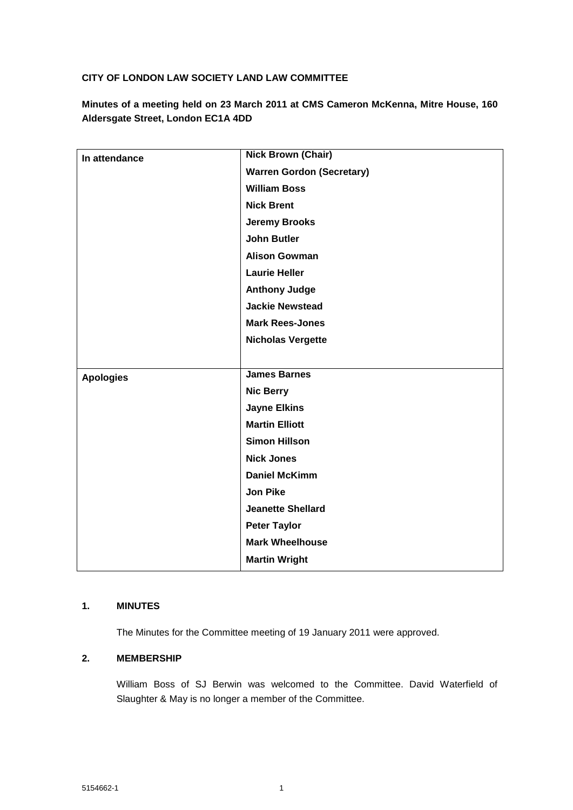## **CITY OF LONDON LAW SOCIETY LAND LAW COMMITTEE**

**Minutes of a meeting held on 23 March 2011 at CMS Cameron McKenna, Mitre House, 160 Aldersgate Street, London EC1A 4DD**

| In attendance    | <b>Nick Brown (Chair)</b>        |
|------------------|----------------------------------|
|                  | <b>Warren Gordon (Secretary)</b> |
|                  | <b>William Boss</b>              |
|                  | <b>Nick Brent</b>                |
|                  | <b>Jeremy Brooks</b>             |
|                  | <b>John Butler</b>               |
|                  | <b>Alison Gowman</b>             |
|                  | <b>Laurie Heller</b>             |
|                  | <b>Anthony Judge</b>             |
|                  | <b>Jackie Newstead</b>           |
|                  | <b>Mark Rees-Jones</b>           |
|                  | <b>Nicholas Vergette</b>         |
|                  |                                  |
| <b>Apologies</b> | <b>James Barnes</b>              |
|                  | <b>Nic Berry</b>                 |
|                  | <b>Jayne Elkins</b>              |
|                  | <b>Martin Elliott</b>            |
|                  | <b>Simon Hillson</b>             |
|                  | <b>Nick Jones</b>                |
|                  | <b>Daniel McKimm</b>             |
|                  | <b>Jon Pike</b>                  |
|                  | <b>Jeanette Shellard</b>         |
|                  | <b>Peter Taylor</b>              |
|                  | <b>Mark Wheelhouse</b>           |
|                  | <b>Martin Wright</b>             |

## **1. MINUTES**

The Minutes for the Committee meeting of 19 January 2011 were approved.

## **2. MEMBERSHIP**

William Boss of SJ Berwin was welcomed to the Committee. David Waterfield of Slaughter & May is no longer a member of the Committee.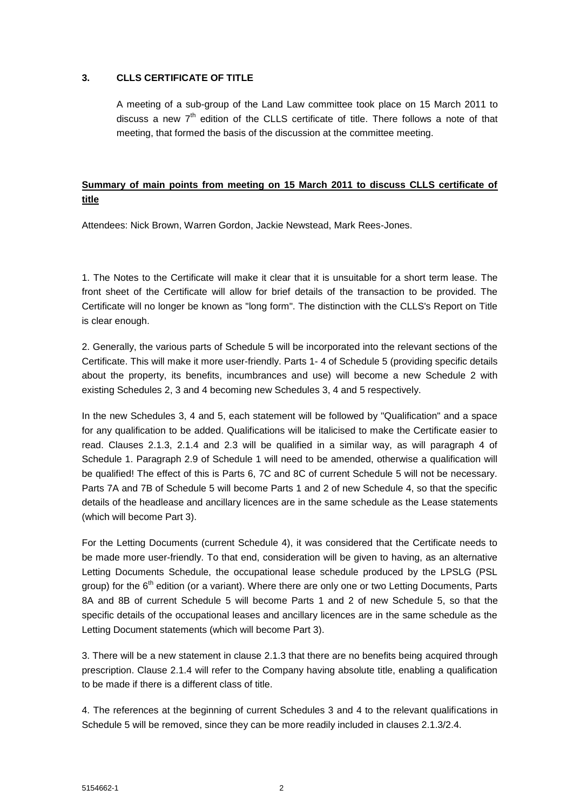#### **3. CLLS CERTIFICATE OF TITLE**

A meeting of a sub-group of the Land Law committee took place on 15 March 2011 to discuss a new  $7<sup>th</sup>$  edition of the CLLS certificate of title. There follows a note of that meeting, that formed the basis of the discussion at the committee meeting.

# **Summary of main points from meeting on 15 March 2011 to discuss CLLS certificate of title**

Attendees: Nick Brown, Warren Gordon, Jackie Newstead, Mark Rees-Jones.

1. The Notes to the Certificate will make it clear that it is unsuitable for a short term lease. The front sheet of the Certificate will allow for brief details of the transaction to be provided. The Certificate will no longer be known as "long form". The distinction with the CLLS's Report on Title is clear enough.

2. Generally, the various parts of Schedule 5 will be incorporated into the relevant sections of the Certificate. This will make it more user-friendly. Parts 1- 4 of Schedule 5 (providing specific details about the property, its benefits, incumbrances and use) will become a new Schedule 2 with existing Schedules 2, 3 and 4 becoming new Schedules 3, 4 and 5 respectively.

In the new Schedules 3, 4 and 5, each statement will be followed by "Qualification" and a space for any qualification to be added. Qualifications will be italicised to make the Certificate easier to read. Clauses 2.1.3, 2.1.4 and 2.3 will be qualified in a similar way, as will paragraph 4 of Schedule 1. Paragraph 2.9 of Schedule 1 will need to be amended, otherwise a qualification will be qualified! The effect of this is Parts 6, 7C and 8C of current Schedule 5 will not be necessary. Parts 7A and 7B of Schedule 5 will become Parts 1 and 2 of new Schedule 4, so that the specific details of the headlease and ancillary licences are in the same schedule as the Lease statements (which will become Part 3).

For the Letting Documents (current Schedule 4), it was considered that the Certificate needs to be made more user-friendly. To that end, consideration will be given to having, as an alternative Letting Documents Schedule, the occupational lease schedule produced by the LPSLG (PSL group) for the  $6<sup>th</sup>$  edition (or a variant). Where there are only one or two Letting Documents, Parts 8A and 8B of current Schedule 5 will become Parts 1 and 2 of new Schedule 5, so that the specific details of the occupational leases and ancillary licences are in the same schedule as the Letting Document statements (which will become Part 3).

3. There will be a new statement in clause 2.1.3 that there are no benefits being acquired through prescription. Clause 2.1.4 will refer to the Company having absolute title, enabling a qualification to be made if there is a different class of title.

4. The references at the beginning of current Schedules 3 and 4 to the relevant qualifications in Schedule 5 will be removed, since they can be more readily included in clauses 2.1.3/2.4.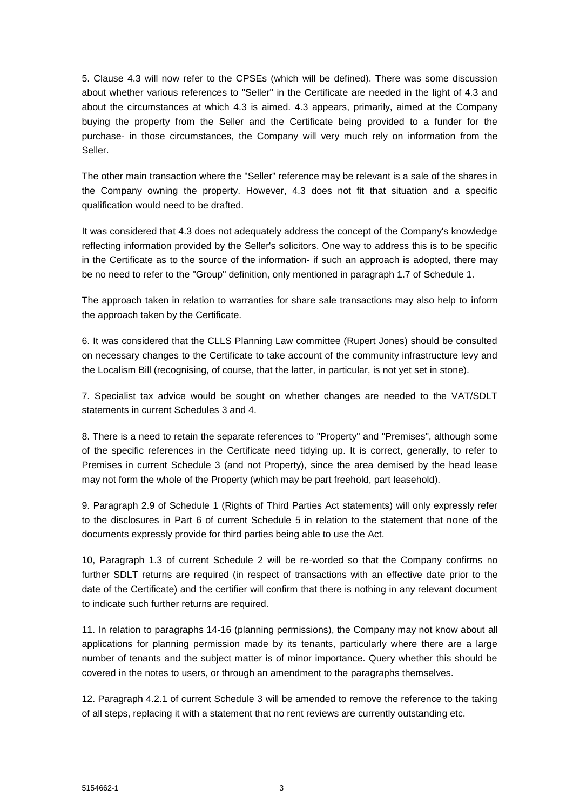5. Clause 4.3 will now refer to the CPSEs (which will be defined). There was some discussion about whether various references to "Seller" in the Certificate are needed in the light of 4.3 and about the circumstances at which 4.3 is aimed. 4.3 appears, primarily, aimed at the Company buying the property from the Seller and the Certificate being provided to a funder for the purchase- in those circumstances, the Company will very much rely on information from the Seller.

The other main transaction where the "Seller" reference may be relevant is a sale of the shares in the Company owning the property. However, 4.3 does not fit that situation and a specific qualification would need to be drafted.

It was considered that 4.3 does not adequately address the concept of the Company's knowledge reflecting information provided by the Seller's solicitors. One way to address this is to be specific in the Certificate as to the source of the information- if such an approach is adopted, there may be no need to refer to the "Group" definition, only mentioned in paragraph 1.7 of Schedule 1.

The approach taken in relation to warranties for share sale transactions may also help to inform the approach taken by the Certificate.

6. It was considered that the CLLS Planning Law committee (Rupert Jones) should be consulted on necessary changes to the Certificate to take account of the community infrastructure levy and the Localism Bill (recognising, of course, that the latter, in particular, is not yet set in stone).

7. Specialist tax advice would be sought on whether changes are needed to the VAT/SDLT statements in current Schedules 3 and 4.

8. There is a need to retain the separate references to "Property" and "Premises", although some of the specific references in the Certificate need tidying up. It is correct, generally, to refer to Premises in current Schedule 3 (and not Property), since the area demised by the head lease may not form the whole of the Property (which may be part freehold, part leasehold).

9. Paragraph 2.9 of Schedule 1 (Rights of Third Parties Act statements) will only expressly refer to the disclosures in Part 6 of current Schedule 5 in relation to the statement that none of the documents expressly provide for third parties being able to use the Act.

10, Paragraph 1.3 of current Schedule 2 will be re-worded so that the Company confirms no further SDLT returns are required (in respect of transactions with an effective date prior to the date of the Certificate) and the certifier will confirm that there is nothing in any relevant document to indicate such further returns are required.

11. In relation to paragraphs 14-16 (planning permissions), the Company may not know about all applications for planning permission made by its tenants, particularly where there are a large number of tenants and the subject matter is of minor importance. Query whether this should be covered in the notes to users, or through an amendment to the paragraphs themselves.

12. Paragraph 4.2.1 of current Schedule 3 will be amended to remove the reference to the taking of all steps, replacing it with a statement that no rent reviews are currently outstanding etc.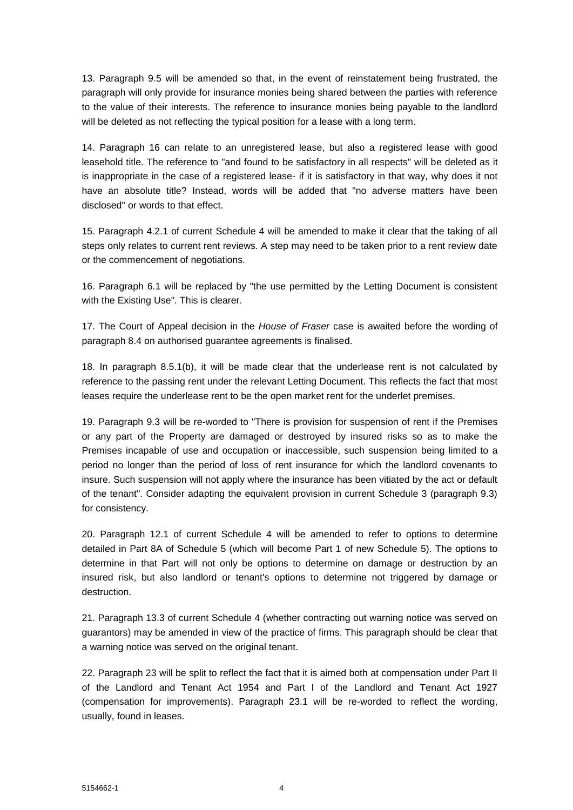13. Paragraph 9.5 will be amended so that, in the event of reinstatement being frustrated, the paragraph will only provide for insurance monies being shared between the parties with reference to the value of their interests. The reference to insurance monies being payable to the landlord will be deleted as not reflecting the typical position for a lease with a long term.

14. Paragraph 16 can relate to an unregistered lease, but also a registered lease with good leasehold title. The reference to "and found to be satisfactory in all respects" will be deleted as it is inappropriate in the case of a registered lease- if it is satisfactory in that way, why does it not have an absolute title? Instead, words will be added that "no adverse matters have been disclosed" or words to that effect.

15. Paragraph 4.2.1 of current Schedule 4 will be amended to make it clear that the taking of all steps only relates to current rent reviews. A step may need to be taken prior to a rent review date or the commencement of negotiations.

16. Paragraph 6.1 will be replaced by "the use permitted by the Letting Document is consistent with the Existing Use". This is clearer.

17. The Court of Appeal decision in the *House of Fraser* case is awaited before the wording of paragraph 8.4 on authorised guarantee agreements is finalised.

18. In paragraph 8.5.1(b), it will be made clear that the underlease rent is not calculated by reference to the passing rent under the relevant Letting Document. This reflects the fact that most leases require the underlease rent to be the open market rent for the underlet premises.

19. Paragraph 9.3 will be re-worded to "There is provision for suspension of rent if the Premises or any part of the Property are damaged or destroyed by insured risks so as to make the Premises incapable of use and occupation or inaccessible, such suspension being limited to a period no longer than the period of loss of rent insurance for which the landlord covenants to insure. Such suspension will not apply where the insurance has been vitiated by the act or default of the tenant". Consider adapting the equivalent provision in current Schedule 3 (paragraph 9.3) for consistency.

20. Paragraph 12.1 of current Schedule 4 will be amended to refer to options to determine detailed in Part 8A of Schedule 5 (which will become Part 1 of new Schedule 5). The options to determine in that Part will not only be options to determine on damage or destruction by an insured risk, but also landlord or tenant's options to determine not triggered by damage or destruction.

21. Paragraph 13.3 of current Schedule 4 (whether contracting out warning notice was served on guarantors) may be amended in view of the practice of firms. This paragraph should be clear that a warning notice was served on the original tenant.

22. Paragraph 23 will be split to reflect the fact that it is aimed both at compensation under Part II of the Landlord and Tenant Act 1954 and Part I of the Landlord and Tenant Act 1927 (compensation for improvements). Paragraph 23.1 will be re-worded to reflect the wording, usually, found in leases.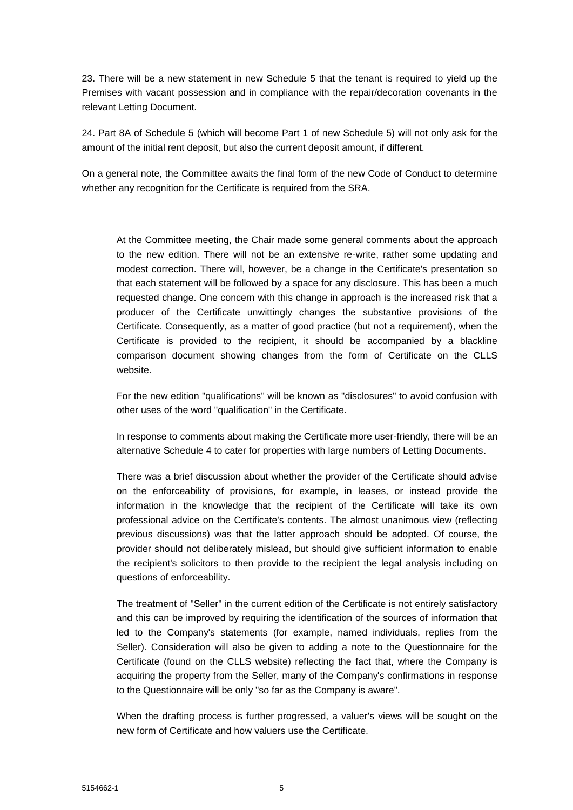23. There will be a new statement in new Schedule 5 that the tenant is required to yield up the Premises with vacant possession and in compliance with the repair/decoration covenants in the relevant Letting Document.

24. Part 8A of Schedule 5 (which will become Part 1 of new Schedule 5) will not only ask for the amount of the initial rent deposit, but also the current deposit amount, if different.

On a general note, the Committee awaits the final form of the new Code of Conduct to determine whether any recognition for the Certificate is required from the SRA.

At the Committee meeting, the Chair made some general comments about the approach to the new edition. There will not be an extensive re-write, rather some updating and modest correction. There will, however, be a change in the Certificate's presentation so that each statement will be followed by a space for any disclosure. This has been a much requested change. One concern with this change in approach is the increased risk that a producer of the Certificate unwittingly changes the substantive provisions of the Certificate. Consequently, as a matter of good practice (but not a requirement), when the Certificate is provided to the recipient, it should be accompanied by a blackline comparison document showing changes from the form of Certificate on the CLLS website.

For the new edition "qualifications" will be known as "disclosures" to avoid confusion with other uses of the word "qualification" in the Certificate.

In response to comments about making the Certificate more user-friendly, there will be an alternative Schedule 4 to cater for properties with large numbers of Letting Documents.

There was a brief discussion about whether the provider of the Certificate should advise on the enforceability of provisions, for example, in leases, or instead provide the information in the knowledge that the recipient of the Certificate will take its own professional advice on the Certificate's contents. The almost unanimous view (reflecting previous discussions) was that the latter approach should be adopted. Of course, the provider should not deliberately mislead, but should give sufficient information to enable the recipient's solicitors to then provide to the recipient the legal analysis including on questions of enforceability.

The treatment of "Seller" in the current edition of the Certificate is not entirely satisfactory and this can be improved by requiring the identification of the sources of information that led to the Company's statements (for example, named individuals, replies from the Seller). Consideration will also be given to adding a note to the Questionnaire for the Certificate (found on the CLLS website) reflecting the fact that, where the Company is acquiring the property from the Seller, many of the Company's confirmations in response to the Questionnaire will be only "so far as the Company is aware".

When the drafting process is further progressed, a valuer's views will be sought on the new form of Certificate and how valuers use the Certificate.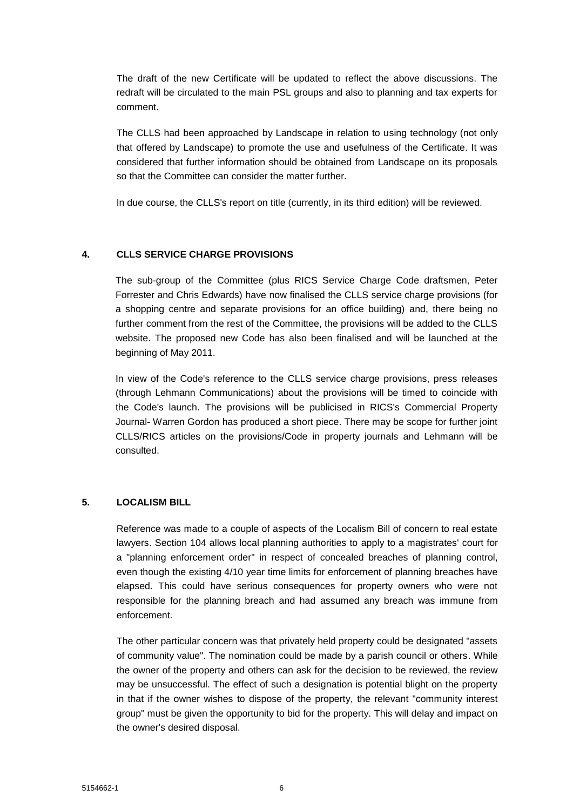The draft of the new Certificate will be updated to reflect the above discussions. The redraft will be circulated to the main PSL groups and also to planning and tax experts for comment.

The CLLS had been approached by Landscape in relation to using technology (not only that offered by Landscape) to promote the use and usefulness of the Certificate. It was considered that further information should be obtained from Landscape on its proposals so that the Committee can consider the matter further.

In due course, the CLLS's report on title (currently, in its third edition) will be reviewed.

## **4. CLLS SERVICE CHARGE PROVISIONS**

The sub-group of the Committee (plus RICS Service Charge Code draftsmen, Peter Forrester and Chris Edwards) have now finalised the CLLS service charge provisions (for a shopping centre and separate provisions for an office building) and, there being no further comment from the rest of the Committee, the provisions will be added to the CLLS website. The proposed new Code has also been finalised and will be launched at the beginning of May 2011.

In view of the Code's reference to the CLLS service charge provisions, press releases (through Lehmann Communications) about the provisions will be timed to coincide with the Code's launch. The provisions will be publicised in RICS's Commercial Property Journal- Warren Gordon has produced a short piece. There may be scope for further joint CLLS/RICS articles on the provisions/Code in property journals and Lehmann will be consulted.

#### **5. LOCALISM BILL**

Reference was made to a couple of aspects of the Localism Bill of concern to real estate lawyers. Section 104 allows local planning authorities to apply to a magistrates' court for a "planning enforcement order" in respect of concealed breaches of planning control, even though the existing 4/10 year time limits for enforcement of planning breaches have elapsed. This could have serious consequences for property owners who were not responsible for the planning breach and had assumed any breach was immune from enforcement.

The other particular concern was that privately held property could be designated "assets of community value". The nomination could be made by a parish council or others. While the owner of the property and others can ask for the decision to be reviewed, the review may be unsuccessful. The effect of such a designation is potential blight on the property in that if the owner wishes to dispose of the property, the relevant "community interest group" must be given the opportunity to bid for the property. This will delay and impact on the owner's desired disposal.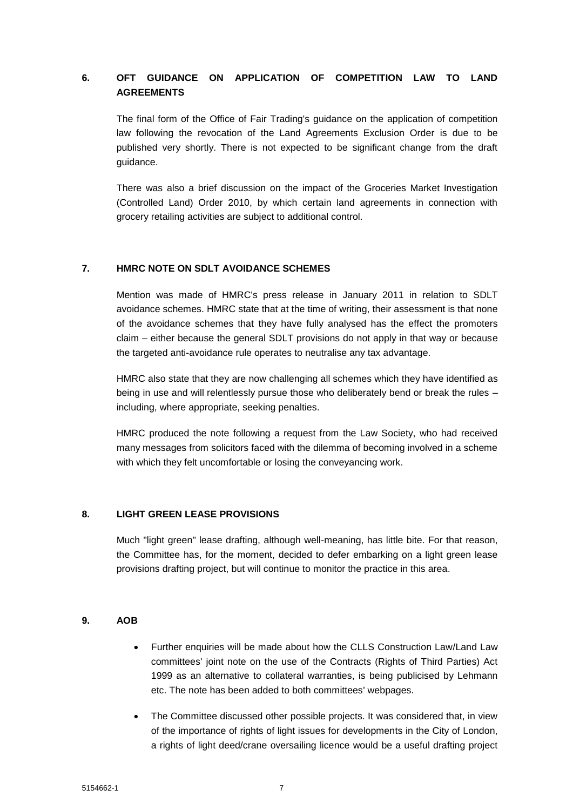# **6. OFT GUIDANCE ON APPLICATION OF COMPETITION LAW TO LAND AGREEMENTS**

The final form of the Office of Fair Trading's guidance on the application of competition law following the revocation of the Land Agreements Exclusion Order is due to be published very shortly. There is not expected to be significant change from the draft guidance.

There was also a brief discussion on the impact of the Groceries Market Investigation (Controlled Land) Order 2010, by which certain land agreements in connection with grocery retailing activities are subject to additional control.

## **7. HMRC NOTE ON SDLT AVOIDANCE SCHEMES**

Mention was made of HMRC's press release in January 2011 in relation to SDLT avoidance schemes. HMRC state that at the time of writing, their assessment is that none of the avoidance schemes that they have fully analysed has the effect the promoters claim – either because the general SDLT provisions do not apply in that way or because the targeted anti-avoidance rule operates to neutralise any tax advantage.

HMRC also state that they are now challenging all schemes which they have identified as being in use and will relentlessly pursue those who deliberately bend or break the rules including, where appropriate, seeking penalties.

HMRC produced the note following a request from the Law Society, who had received many messages from solicitors faced with the dilemma of becoming involved in a scheme with which they felt uncomfortable or losing the conveyancing work.

#### **8. LIGHT GREEN LEASE PROVISIONS**

Much "light green" lease drafting, although well-meaning, has little bite. For that reason, the Committee has, for the moment, decided to defer embarking on a light green lease provisions drafting project, but will continue to monitor the practice in this area.

#### **9. AOB**

- Further enquiries will be made about how the CLLS Construction Law/Land Law committees' joint note on the use of the Contracts (Rights of Third Parties) Act 1999 as an alternative to collateral warranties, is being publicised by Lehmann etc. The note has been added to both committees' webpages.
- The Committee discussed other possible projects. It was considered that, in view of the importance of rights of light issues for developments in the City of London, a rights of light deed/crane oversailing licence would be a useful drafting project